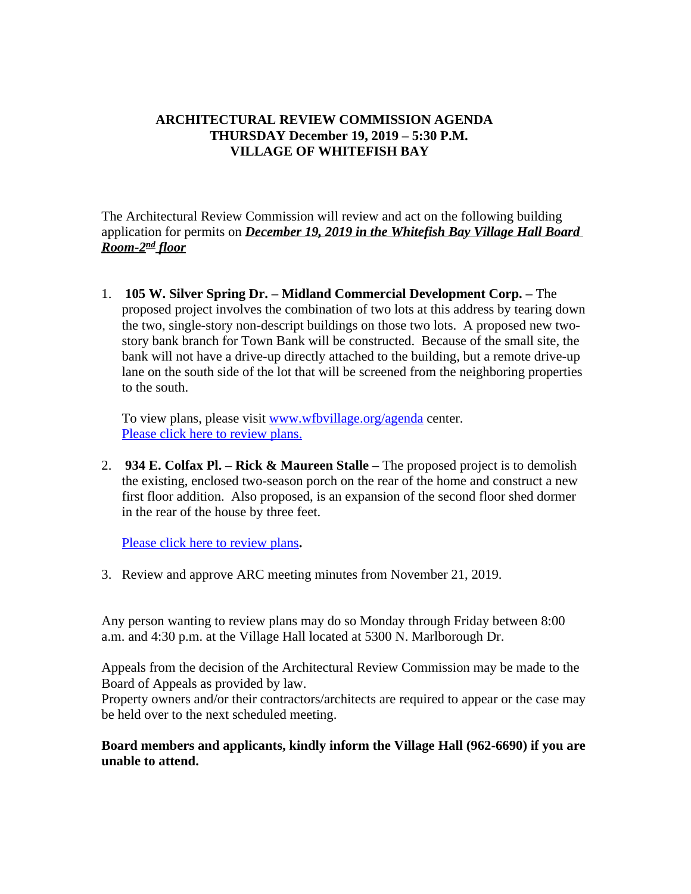## **ARCHITECTURAL REVIEW COMMISSION AGENDA THURSDAY December 19, 2019 – 5:30 P.M. VILLAGE OF WHITEFISH BAY**

The Architectural Review Commission will review and act on the following building application for permits on *December 19, 2019 in the Whitefish Bay Village Hall Board Room-2nd floor*

1. **105 W. Silver Spring Dr. – Midland Commercial Development Corp. –** The proposed project involves the combination of two lots at this address by tearing down the two, single-story non-descript buildings on those two lots. A proposed new twostory bank branch for Town Bank will be constructed. Because of the small site, the bank will not have a drive-up directly attached to the building, but a remote drive-up lane on the south side of the lot that will be screened from the neighboring properties to the south.

To view plans, please visit [www.wfbvillage.org/agenda](http://www.wfbvillage.org/agenda) center. [Please click here to review plans.](https://www.wfbvillage.org/DocumentCenter/View/994/105-W-Silver-Spring-12-19-19)

2. **934 E. Colfax Pl. – Rick & Maureen Stalle –** The proposed project is to demolish the existing, enclosed two-season porch on the rear of the home and construct a new first floor addition. Also proposed, is an expansion of the second floor shed dormer in the rear of the house by three feet.

[Please click here to review plans](https://www.wfbvillage.org/DocumentCenter/View/995/934-E-Colfax-12-19-19)**.**

3. Review and approve ARC meeting minutes from November 21, 2019.

Any person wanting to review plans may do so Monday through Friday between 8:00 a.m. and 4:30 p.m. at the Village Hall located at 5300 N. Marlborough Dr.

Appeals from the decision of the Architectural Review Commission may be made to the Board of Appeals as provided by law.

Property owners and/or their contractors/architects are required to appear or the case may be held over to the next scheduled meeting.

## **Board members and applicants, kindly inform the Village Hall (962-6690) if you are unable to attend.**